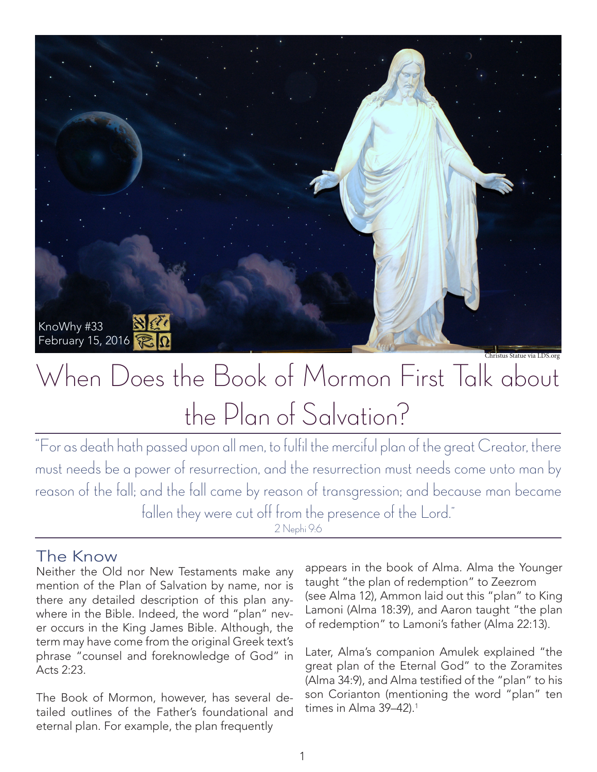

# When Does the Book of Mormon First Talk about the Plan of Salvation?

"For as death hath passed upon all men, to fulfil the merciful plan of the great Creator, there must needs be a power of resurrection, and the resurrection must needs come unto man by reason of the fall; and the fall came by reason of transgression; and because man became fallen they were cut off from the presence of the Lord."

#### 2 Nephi 9:6

#### The Know

Neither the Old nor New Testaments make any mention of the Plan of Salvation by name, nor is there any detailed description of this plan anywhere in the Bible. Indeed, the word "plan" never occurs in the King James Bible. Although, the term may have come from the original Greek text's phrase "counsel and foreknowledge of God" in Acts 2:23.

The Book of Mormon, however, has several detailed outlines of the Father's foundational and eternal plan. For example, the plan frequently

appears in the book of Alma. Alma the Younger taught "the plan of redemption" to Zeezrom (see Alma 12), Ammon laid out this "plan" to King Lamoni (Alma 18:39), and Aaron taught "the plan of redemption" to Lamoni's father (Alma 22:13).

Christus Statue via LDS.org

Later, Alma's companion Amulek explained "the great plan of the Eternal God" to the Zoramites (Alma 34:9), and Alma testified of the "plan" to his son Corianton (mentioning the word "plan" ten times in Alma 39-42).<sup>1</sup>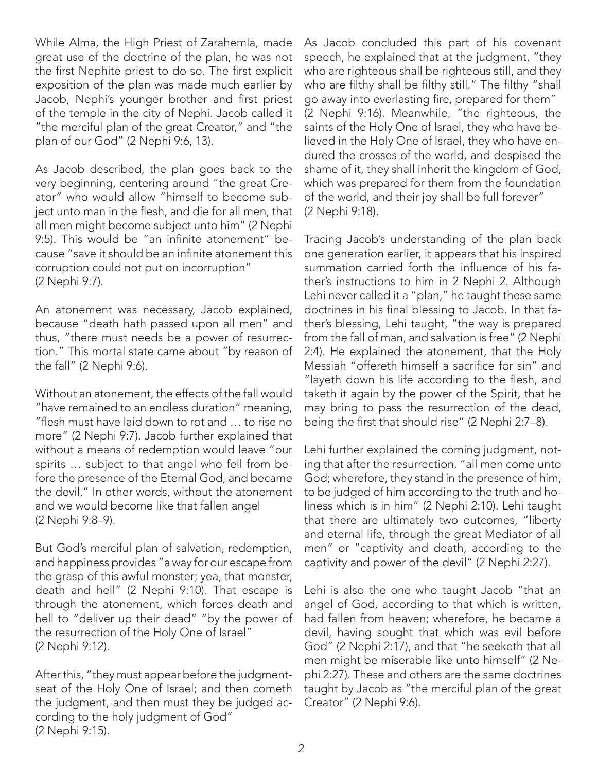While Alma, the High Priest of Zarahemla, made great use of the doctrine of the plan, he was not the first Nephite priest to do so. The first explicit exposition of the plan was made much earlier by Jacob, Nephi's younger brother and first priest of the temple in the city of Nephi. Jacob called it "the merciful plan of the great Creator," and "the plan of our God" (2 Nephi 9:6, 13).

As Jacob described, the plan goes back to the very beginning, centering around "the great Creator" who would allow "himself to become subject unto man in the flesh, and die for all men, that all men might become subject unto him" (2 Nephi 9:5). This would be "an infinite atonement" because "save it should be an infinite atonement this corruption could not put on incorruption" (2 Nephi 9:7).

An atonement was necessary, Jacob explained, because "death hath passed upon all men" and thus, "there must needs be a power of resurrection." This mortal state came about "by reason of the fall" (2 Nephi 9:6).

Without an atonement, the effects of the fall would "have remained to an endless duration" meaning, "flesh must have laid down to rot and … to rise no more" (2 Nephi 9:7). Jacob further explained that without a means of redemption would leave "our spirits … subject to that angel who fell from before the presence of the Eternal God, and became the devil." In other words, without the atonement and we would become like that fallen angel (2 Nephi 9:8–9).

But God's merciful plan of salvation, redemption, and happiness provides "a way for our escape from the grasp of this awful monster; yea, that monster, death and hell" (2 Nephi 9:10). That escape is through the atonement, which forces death and hell to "deliver up their dead" "by the power of the resurrection of the Holy One of Israel" (2 Nephi 9:12).

After this, "they must appear before the judgmentseat of the Holy One of Israel; and then cometh the judgment, and then must they be judged according to the holy judgment of God" (2 Nephi 9:15).

As Jacob concluded this part of his covenant speech, he explained that at the judgment, "they who are righteous shall be righteous still, and they who are filthy shall be filthy still." The filthy "shall go away into everlasting fire, prepared for them" (2 Nephi 9:16). Meanwhile, "the righteous, the saints of the Holy One of Israel, they who have believed in the Holy One of Israel, they who have endured the crosses of the world, and despised the shame of it, they shall inherit the kingdom of God, which was prepared for them from the foundation of the world, and their joy shall be full forever" (2 Nephi 9:18).

Tracing Jacob's understanding of the plan back one generation earlier, it appears that his inspired summation carried forth the influence of his father's instructions to him in 2 Nephi 2. Although Lehi never called it a "plan," he taught these same doctrines in his final blessing to Jacob. In that father's blessing, Lehi taught, "the way is prepared from the fall of man, and salvation is free" (2 Nephi 2:4). He explained the atonement, that the Holy Messiah "offereth himself a sacrifice for sin" and "layeth down his life according to the flesh, and taketh it again by the power of the Spirit, that he may bring to pass the resurrection of the dead, being the first that should rise" (2 Nephi 2:7–8).

Lehi further explained the coming judgment, noting that after the resurrection, "all men come unto God; wherefore, they stand in the presence of him, to be judged of him according to the truth and holiness which is in him" (2 Nephi 2:10). Lehi taught that there are ultimately two outcomes, "liberty and eternal life, through the great Mediator of all men" or "captivity and death, according to the captivity and power of the devil" (2 Nephi 2:27).

Lehi is also the one who taught Jacob "that an angel of God, according to that which is written, had fallen from heaven; wherefore, he became a devil, having sought that which was evil before God" (2 Nephi 2:17), and that "he seeketh that all men might be miserable like unto himself" (2 Nephi 2:27). These and others are the same doctrines taught by Jacob as "the merciful plan of the great Creator" (2 Nephi 9:6).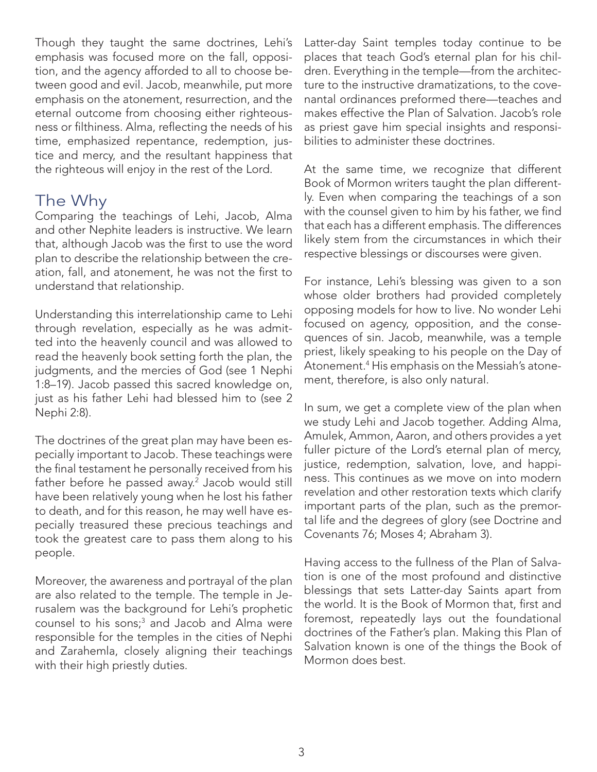Though they taught the same doctrines, Lehi's emphasis was focused more on the fall, opposition, and the agency afforded to all to choose between good and evil. Jacob, meanwhile, put more emphasis on the atonement, resurrection, and the eternal outcome from choosing either righteousness or filthiness. Alma, reflecting the needs of his time, emphasized repentance, redemption, justice and mercy, and the resultant happiness that the righteous will enjoy in the rest of the Lord.

### The Why

Comparing the teachings of Lehi, Jacob, Alma and other Nephite leaders is instructive. We learn that, although Jacob was the first to use the word plan to describe the relationship between the creation, fall, and atonement, he was not the first to understand that relationship.

Understanding this interrelationship came to Lehi through revelation, especially as he was admitted into the heavenly council and was allowed to read the heavenly book setting forth the plan, the judgments, and the mercies of God (see 1 Nephi 1:8–19). Jacob passed this sacred knowledge on, just as his father Lehi had blessed him to (see 2 Nephi 2:8).

The doctrines of the great plan may have been especially important to Jacob. These teachings were the final testament he personally received from his father before he passed away.<sup>2</sup> Jacob would still have been relatively young when he lost his father to death, and for this reason, he may well have especially treasured these precious teachings and took the greatest care to pass them along to his people.

Moreover, the awareness and portrayal of the plan are also related to the temple. The temple in Jerusalem was the background for Lehi's prophetic counsel to his sons;3 and Jacob and Alma were responsible for the temples in the cities of Nephi and Zarahemla, closely aligning their teachings with their high priestly duties.

Latter-day Saint temples today continue to be places that teach God's eternal plan for his children. Everything in the temple—from the architecture to the instructive dramatizations, to the covenantal ordinances preformed there—teaches and makes effective the Plan of Salvation. Jacob's role as priest gave him special insights and responsibilities to administer these doctrines.

At the same time, we recognize that different Book of Mormon writers taught the plan differently. Even when comparing the teachings of a son with the counsel given to him by his father, we find that each has a different emphasis. The differences likely stem from the circumstances in which their respective blessings or discourses were given.

For instance, Lehi's blessing was given to a son whose older brothers had provided completely opposing models for how to live. No wonder Lehi focused on agency, opposition, and the consequences of sin. Jacob, meanwhile, was a temple priest, likely speaking to his people on the Day of Atonement.4 His emphasis on the Messiah's atonement, therefore, is also only natural.

In sum, we get a complete view of the plan when we study Lehi and Jacob together. Adding Alma, Amulek, Ammon, Aaron, and others provides a yet fuller picture of the Lord's eternal plan of mercy, justice, redemption, salvation, love, and happiness. This continues as we move on into modern revelation and other restoration texts which clarify important parts of the plan, such as the premortal life and the degrees of glory (see Doctrine and Covenants 76; Moses 4; Abraham 3).

Having access to the fullness of the Plan of Salvation is one of the most profound and distinctive blessings that sets Latter-day Saints apart from the world. It is the Book of Mormon that, first and foremost, repeatedly lays out the foundational doctrines of the Father's plan. Making this Plan of Salvation known is one of the things the Book of Mormon does best.